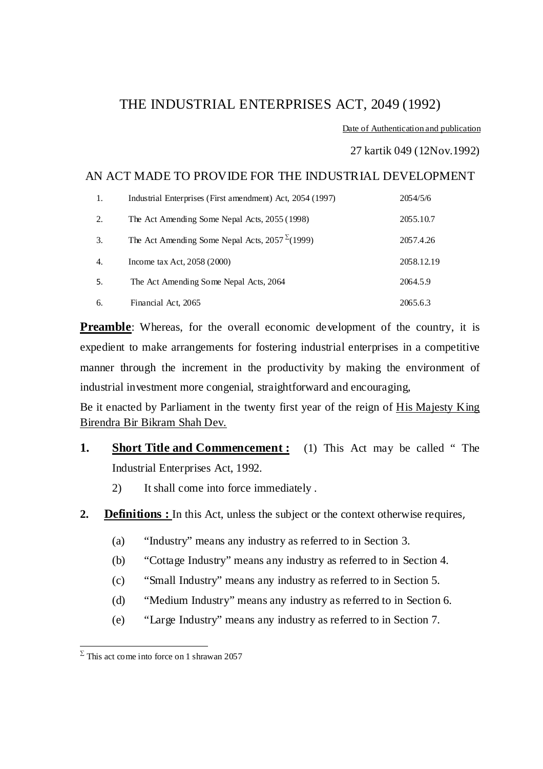### THE INDUSTRIAL ENTERPRISES ACT, 2049 (1992)

Date of Authentication and publication

#### 27 kartik 049 (12Nov.1992)

#### AN ACT MADE TO PROVIDE FOR THE INDUSTRIAL DEVELOPMENT

| 1. | Industrial Enterprises (First amendment) Act, 2054 (1997) | 2054/5/6   |
|----|-----------------------------------------------------------|------------|
| 2. | The Act Amending Some Nepal Acts, 2055 (1998)             | 2055.10.7  |
| 3. | The Act Amending Some Nepal Acts, $2057^{\Sigma}(1999)$   | 2057.4.26  |
| 4. | Income tax Act, $2058(2000)$                              | 2058.12.19 |
| 5. | The Act Amending Some Nepal Acts, 2064                    | 2064.5.9   |
| 6. | Financial Act, 2065                                       | 2065.6.3   |

**Preamble**: Whereas, for the overall economic development of the country, it is expedient to make arrangements for fostering industrial enterprises in a competitive manner through the increment in the productivity by making the environment of industrial investment more congenial, straightforward and encouraging,

Be it enacted by Parliament in the twenty first year of the reign of His Majesty King Birendra Bir Bikram Shah Dev.

- **1. Short Title and Commencement :** (1) This Act may be called "The Industrial Enterprises Act, 1992.
	- 2) It shall come into force immediately .
- **2. Definitions :** In this Act, unless the subject or the context otherwise requires,
	- (a) "Industry" means any industry as referred to in Section 3.
	- (b) "Cottage Industry" means any industry as referred to in Section 4.
	- (c) "Small Industry" means any industry as referred to in Section 5.
	- (d) "Medium Industry" means any industry as referred to in Section 6.
	- (e) "Large Industry" means any industry as referred to in Section 7.

 $\sum \text{ This act come into force on 1 shrawan } 2057$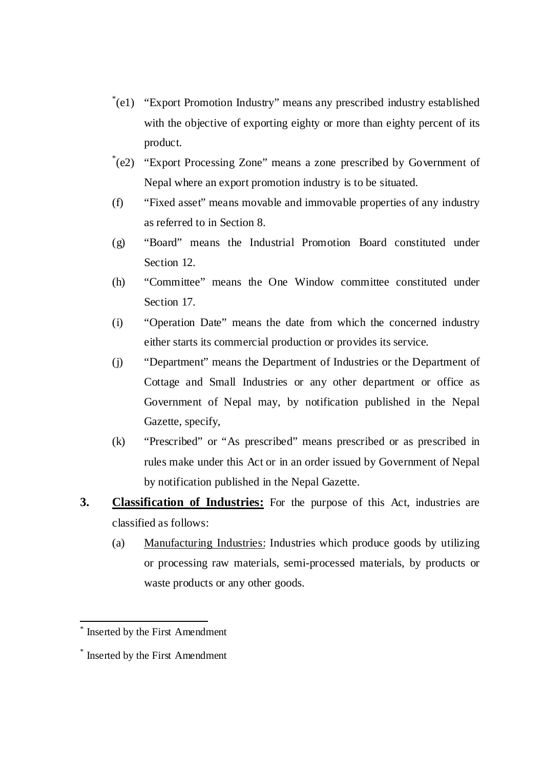- \* (e1) "Export Promotion Industry" means any prescribed industry established with the objective of exporting eighty or more than eighty percent of its product.
- \* (e2) "Export Processing Zone" means a zone prescribed by Government of Nepal where an export promotion industry is to be situated.
- (f) "Fixed asset" means movable and immovable properties of any industry as referred to in Section 8.
- (g) "Board" means the Industrial Promotion Board constituted under Section 12.
- (h) "Committee" means the One Window committee constituted under Section 17.
- (i) "Operation Date" means the date from which the concerned industry either starts its commercial production or provides its service.
- (j) "Department" means the Department of Industries or the Department of Cottage and Small Industries or any other department or office as Government of Nepal may, by notification published in the Nepal Gazette, specify,
- (k) "Prescribed" or "As prescribed" means prescribed or as prescribed in rules make under this Act or in an order issued by Government of Nepal by notification published in the Nepal Gazette.
- **3. Classification of Industries:** For the purpose of this Act, industries are classified as follows:
	- (a) Manufacturing Industries: Industries which produce goods by utilizing or processing raw materials, semi-processed materials, by products or waste products or any other goods.

<sup>\*</sup> Inserted by the First Amendment

<sup>\*</sup> Inserted by the First Amendment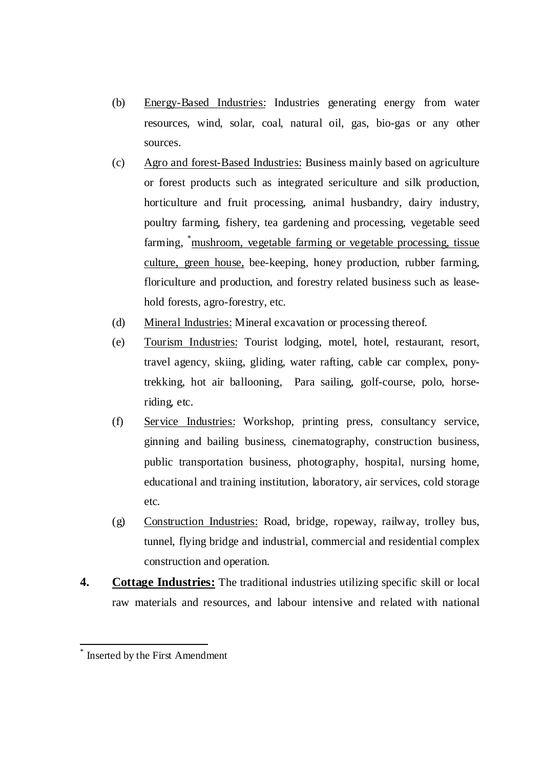- (b) Energy-Based Industries: Industries generating energy from water resources, wind, solar, coal, natural oil, gas, bio-gas or any other sources.
- (c) Agro and forest-Based Industries: Business mainly based on agriculture or forest products such as integrated sericulture and silk production, horticulture and fruit processing, animal husbandry, dairy industry, poultry farming, fishery, tea gardening and processing, vegetable seed farming, \*mushroom, vegetable farming or vegetable processing, tissue culture, green house, bee-keeping, honey production, rubber farming, floriculture and production, and forestry related business such as leasehold forests, agro-forestry, etc.
- (d) Mineral Industries: Mineral excavation or processing thereof.
- (e) Tourism Industries: Tourist lodging, motel, hotel, restaurant, resort, travel agency, skiing, gliding, water rafting, cable car complex, ponytrekking, hot air ballooning, Para sailing, golf-course, polo, horseriding, etc.
- (f) Service Industries: Workshop, printing press, consultancy service, ginning and bailing business, cinematography, construction business, public transportation business, photography, hospital, nursing home, educational and training institution, laboratory, air services, cold storage etc.
- (g) Construction Industries: Road, bridge, ropeway, railway, trolley bus, tunnel, flying bridge and industrial, commercial and residential complex construction and operation.
- **4. Cottage Industries:** The traditional industries utilizing specific skill or local raw materials and resources, and labour intensive and related with national

<sup>\*</sup> Inserted by the First Amendment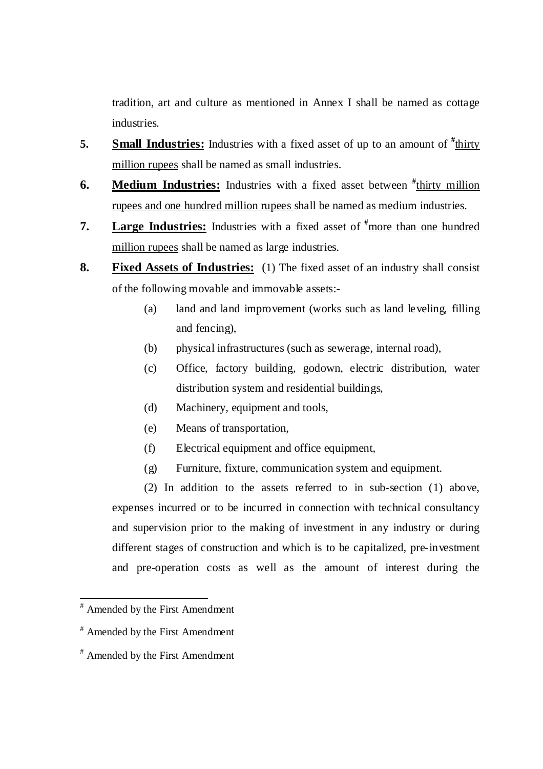tradition, art and culture as mentioned in Annex I shall be named as cottage industries.

- **5. Small Industries:** Industries with a fixed asset of up to an amount of  $\frac{\text{# thirty}}{\text{thirty}}$ million rupees shall be named as small industries.
- **6.** Medium Industries: Industries with a fixed asset between  $\frac{d}{dx}$  thirty million rupees and one hundred million rupees shall be named as medium industries.
- **7. Large Industries:** Industries with a fixed asset of **#**more than one hundred million rupees shall be named as large industries.
- **8. Fixed Assets of Industries:** (1) The fixed asset of an industry shall consist of the following movable and immovable assets:-
	- (a) land and land improvement (works such as land leveling, filling and fencing),
	- (b) physical infrastructures (such as sewerage, internal road),
	- (c) Office, factory building, godown, electric distribution, water distribution system and residential buildings,
	- (d) Machinery, equipment and tools,
	- (e) Means of transportation,
	- (f) Electrical equipment and office equipment,
	- (g) Furniture, fixture, communication system and equipment.

(2) In addition to the assets referred to in sub-section (1) above, expenses incurred or to be incurred in connection with technical consultancy and supervision prior to the making of investment in any industry or during different stages of construction and which is to be capitalized, pre-investment and pre-operation costs as well as the amount of interest during the

 # Amended by the First Amendment

<sup>#</sup> Amended by the First Amendment

<sup>#</sup> Amended by the First Amendment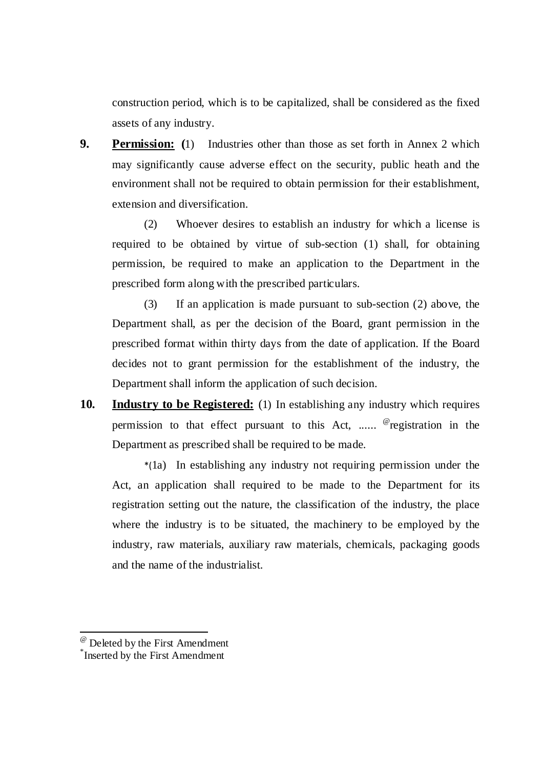construction period, which is to be capitalized, shall be considered as the fixed assets of any industry.

**9.** Permission: (1) Industries other than those as set forth in Annex 2 which may significantly cause adverse effect on the security, public heath and the environment shall not be required to obtain permission for their establishment, extension and diversification.

(2) Whoever desires to establish an industry for which a license is required to be obtained by virtue of sub-section (1) shall, for obtaining permission, be required to make an application to the Department in the prescribed form along with the prescribed particulars.

(3) If an application is made pursuant to sub-section (2) above, the Department shall, as per the decision of the Board, grant permission in the prescribed format within thirty days from the date of application. If the Board decides not to grant permission for the establishment of the industry, the Department shall inform the application of such decision.

**10. Industry to be Registered:** (1) In establishing any industry which requires permission to that effect pursuant to this Act, ...... <sup>@</sup>registration in the Department as prescribed shall be required to be made.

\*(1a) In establishing any industry not requiring permission under the Act, an application shall required to be made to the Department for its registration setting out the nature, the classification of the industry, the place where the industry is to be situated, the machinery to be employed by the industry, raw materials, auxiliary raw materials, chemicals, packaging goods and the name of the industrialist.

.

<sup>@</sup> Deleted by the First Amendment

<sup>\*</sup> Inserted by the First Amendment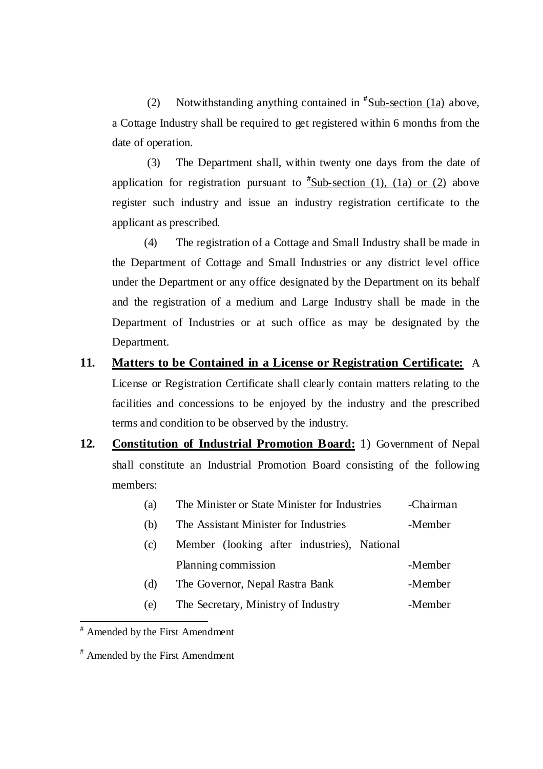(2) Notwithstanding anything contained in **#** Sub-section (1a) above, a Cottage Industry shall be required to get registered within 6 months from the date of operation.

 (3) The Department shall, within twenty one days from the date of application for registration pursuant to **#** Sub-section (1), (1a) or (2) above register such industry and issue an industry registration certificate to the applicant as prescribed.

(4) The registration of a Cottage and Small Industry shall be made in the Department of Cottage and Small Industries or any district level office under the Department or any office designated by the Department on its behalf and the registration of a medium and Large Industry shall be made in the Department of Industries or at such office as may be designated by the Department.

# **11. Matters to be Contained in a License or Registration Certificate:** A License or Registration Certificate shall clearly contain matters relating to the facilities and concessions to be enjoyed by the industry and the prescribed terms and condition to be observed by the industry.

- **12. Constitution of Industrial Promotion Board:** 1) Government of Nepal shall constitute an Industrial Promotion Board consisting of the following members:
	- (a) The Minister or State Minister for Industries -Chairman
	- (b) The Assistant Minister for Industries -Member
	- (c) Member (looking after industries), National Planning commission -Member
	- (d) The Governor, Nepal Rastra Bank -Member
	- (e) The Secretary, Ministry of Industry -Member

<sup>#</sup> Amended by the First Amendment

<sup>#</sup> Amended by the First Amendment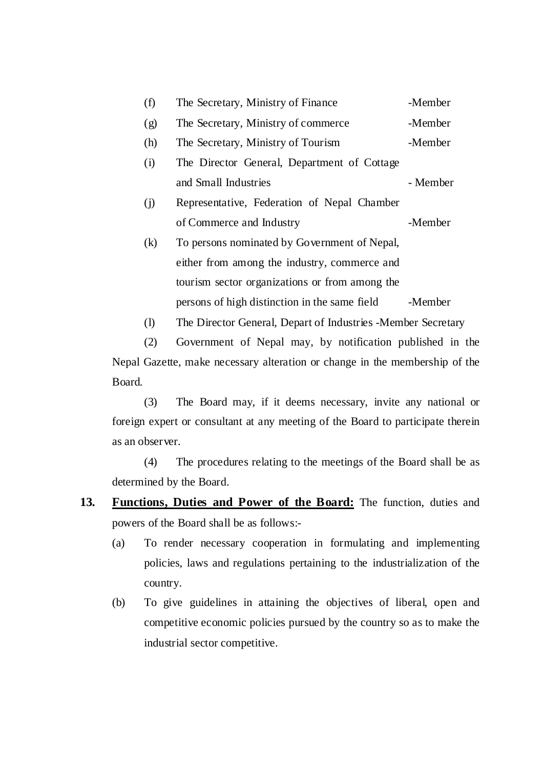| (f) | The Secretary, Ministry of Finance             | -Member  |
|-----|------------------------------------------------|----------|
| (g) | The Secretary, Ministry of commerce            | -Member  |
| (h) | The Secretary, Ministry of Tourism             | -Member  |
| (i) | The Director General, Department of Cottage    |          |
|     | and Small Industries                           | - Member |
| (i) | Representative, Federation of Nepal Chamber    |          |
|     | of Commerce and Industry                       | -Member  |
| (k) | To persons nominated by Government of Nepal,   |          |
|     | either from among the industry, commerce and   |          |
|     | tourism sector organizations or from among the |          |
|     | persons of high distinction in the same field  | -Member  |
|     |                                                |          |

(l) The Director General, Depart of Industries -Member Secretary

(2) Government of Nepal may, by notification published in the Nepal Gazette, make necessary alteration or change in the membership of the Board.

(3) The Board may, if it deems necessary, invite any national or foreign expert or consultant at any meeting of the Board to participate therein as an observer.

(4) The procedures relating to the meetings of the Board shall be as determined by the Board.

- 13. Functions, Duties and Power of the Board: The function, duties and powers of the Board shall be as follows:-
	- (a) To render necessary cooperation in formulating and implementing policies, laws and regulations pertaining to the industrialization of the country.
	- (b) To give guidelines in attaining the objectives of liberal, open and competitive economic policies pursued by the country so as to make the industrial sector competitive.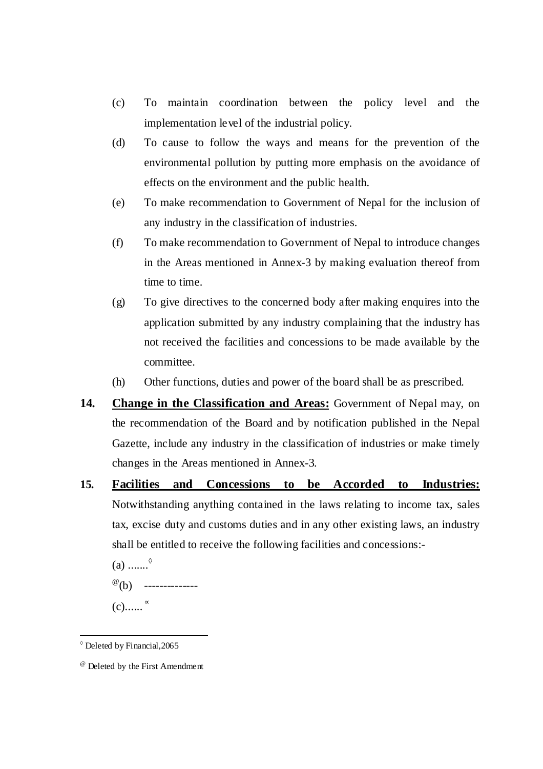- (c) To maintain coordination between the policy level and the implementation level of the industrial policy.
- (d) To cause to follow the ways and means for the prevention of the environmental pollution by putting more emphasis on the avoidance of effects on the environment and the public health.
- (e) To make recommendation to Government of Nepal for the inclusion of any industry in the classification of industries.
- (f) To make recommendation to Government of Nepal to introduce changes in the Areas mentioned in Annex-3 by making evaluation thereof from time to time.
- (g) To give directives to the concerned body after making enquires into the application submitted by any industry complaining that the industry has not received the facilities and concessions to be made available by the committee.
- (h) Other functions, duties and power of the board shall be as prescribed.
- 14. Change in the Classification and Areas: Government of Nepal may, on the recommendation of the Board and by notification published in the Nepal Gazette, include any industry in the classification of industries or make timely changes in the Areas mentioned in Annex-3.
- **15. Facilities and Concessions to be Accorded to Industries:** Notwithstanding anything contained in the laws relating to income tax, sales tax, excise duty and customs duties and in any other existing laws, an industry shall be entitled to receive the following facilities and concessions:-

 $(a)$  .......<sup> $\diamond$ </sup>

- $^{\circ\circ}$ (b) ---------------
- $(c)$ .......  $\infty$

l

<sup>◊</sup> Deleted by Financial,2065

<sup>@</sup> Deleted by the First Amendment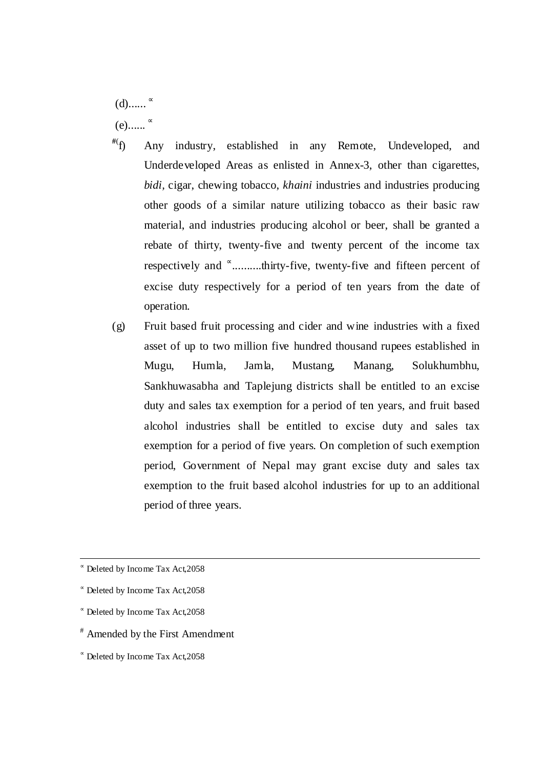$(d)$ .......  $(e)$ ......  $\sim$ 

- **#**( f) Any industry, established in any Remote, Undeveloped, and Underdeveloped Areas as enlisted in Annex-3, other than cigarettes, *bidi,* cigar, chewing tobacco, *khaini* industries and industries producing other goods of a similar nature utilizing tobacco as their basic raw material, and industries producing alcohol or beer, shall be granted a rebate of thirty, twenty-five and twenty percent of the income tax respectively and <sup>∝</sup> ..........thirty-five, twenty-five and fifteen percent of excise duty respectively for a period of ten years from the date of operation.
- (g) Fruit based fruit processing and cider and wine industries with a fixed asset of up to two million five hundred thousand rupees established in Mugu, Humla, Jamla, Mustang, Manang, Solukhumbhu, Sankhuwasabha and Taplejung districts shall be entitled to an excise duty and sales tax exemption for a period of ten years, and fruit based alcohol industries shall be entitled to excise duty and sales tax exemption for a period of five years. On completion of such exemption period, Government of Nepal may grant excise duty and sales tax exemption to the fruit based alcohol industries for up to an additional period of three years.

<sup>∝</sup> Deleted by Income Tax Act,2058

 $\overline{a}$ 

<sup>∝</sup> Deleted by Income Tax Act,2058

- <sup>∝</sup> Deleted by Income Tax Act,2058
- # Amended by the First Amendment
- <sup>∝</sup> Deleted by Income Tax Act,2058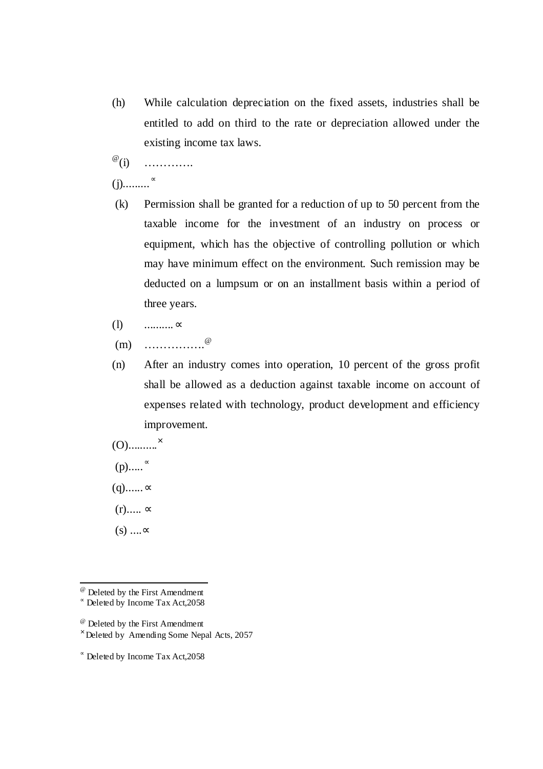- (h) While calculation depreciation on the fixed assets, industries shall be entitled to add on third to the rate or depreciation allowed under the existing income tax laws.
- $^{\circledR}$ (i) (i) ………….

### $(j)$ ............ $^{\infty}$

- (k) Permission shall be granted for a reduction of up to 50 percent from the taxable income for the investment of an industry on process or equipment, which has the objective of controlling pollution or which may have minimum effect on the environment. Such remission may be deducted on a lumpsum or on an installment basis within a period of three years.
- (l) ..........∝
- $(m)$  …………………..@
- (n) After an industry comes into operation, 10 percent of the gross profit shall be allowed as a deduction against taxable income on account of expenses related with technology, product development and efficiency improvement.

$$
(O) \dots \dots \dots \times
$$

 $(p)$ ..... $^{\infty}$ 

 $(q)$ ...... $\infty$ 

- $(r)$ ..... ∝
- $(s)$  .... $\infty$

l

<sup>@</sup> Deleted by the First Amendment

<sup>∝</sup> Deleted by Income Tax Act,2058

<sup>@</sup> Deleted by the First Amendment

<sup>×</sup> Deleted by Amending Some Nepal Acts, 2057

<sup>∝</sup> Deleted by Income Tax Act,2058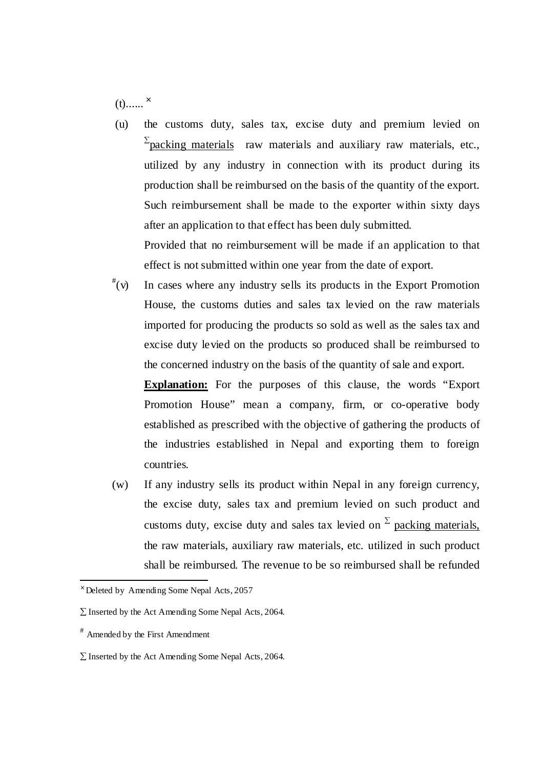$(t)$ ...... $^{x}$ 

 (u) the customs duty, sales tax, excise duty and premium levied on  $\sum_{\text{packing materials}}$  raw materials and auxiliary raw materials, etc., utilized by any industry in connection with its product during its production shall be reimbursed on the basis of the quantity of the export. Such reimbursement shall be made to the exporter within sixty days after an application to that effect has been duly submitted. Provided that no reimbursement will be made if an application to that

effect is not submitted within one year from the date of export.

 $^{\#}(v)$ In cases where any industry sells its products in the Export Promotion House, the customs duties and sales tax levied on the raw materials imported for producing the products so sold as well as the sales tax and excise duty levied on the products so produced shall be reimbursed to the concerned industry on the basis of the quantity of sale and export.

**Explanation:** For the purposes of this clause, the words "Export Promotion House" mean a company, firm, or co-operative body established as prescribed with the objective of gathering the products of the industries established in Nepal and exporting them to foreign countries.

(w) If any industry sells its product within Nepal in any foreign currency, the excise duty, sales tax and premium levied on such product and customs duty, excise duty and sales tax levied on  $\Sigma$  packing materials, the raw materials, auxiliary raw materials, etc. utilized in such product shall be reimbursed. The revenue to be so reimbursed shall be refunded

 $\times$  Deleted by Amending Some Nepal Acts, 2057

<sup>∑</sup> Inserted by the Act Amending Some Nepal Acts, 2064.

<sup>#</sup> Amended by the First Amendment

 $\Sigma$  Inserted by the Act Amending Some Nepal Acts, 2064.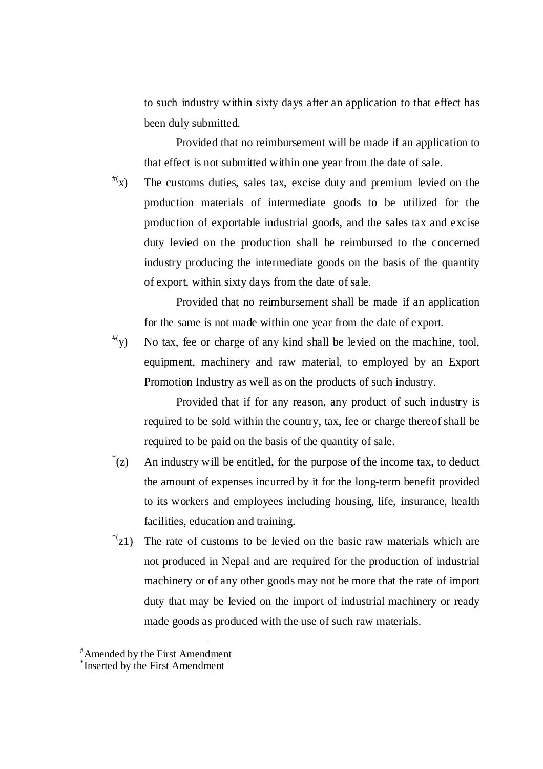to such industry within sixty days after an application to that effect has been duly submitted.

Provided that no reimbursement will be made if an application to that effect is not submitted within one year from the date of sale.

 $f(x)$  The customs duties, sales tax, excise duty and premium levied on the production materials of intermediate goods to be utilized for the production of exportable industrial goods, and the sales tax and excise duty levied on the production shall be reimbursed to the concerned industry producing the intermediate goods on the basis of the quantity of export, within sixty days from the date of sale.

 Provided that no reimbursement shall be made if an application for the same is not made within one year from the date of export.

 $^{#}(y)$  No tax, fee or charge of any kind shall be levied on the machine, tool, equipment, machinery and raw material, to employed by an Export Promotion Industry as well as on the products of such industry.

 Provided that if for any reason, any product of such industry is required to be sold within the country, tax, fee or charge thereof shall be required to be paid on the basis of the quantity of sale.

- $(z)^{*}$ An industry will be entitled, for the purpose of the income tax, to deduct the amount of expenses incurred by it for the long-term benefit provided to its workers and employees including housing, life, insurance, health facilities, education and training.
- $x^*(z_1)$  The rate of customs to be levied on the basic raw materials which are not produced in Nepal and are required for the production of industrial machinery or of any other goods may not be more that the rate of import duty that may be levied on the import of industrial machinery or ready made goods as produced with the use of such raw materials.

<sup>#</sup>Amended by the First Amendment

<sup>\*</sup> Inserted by the First Amendment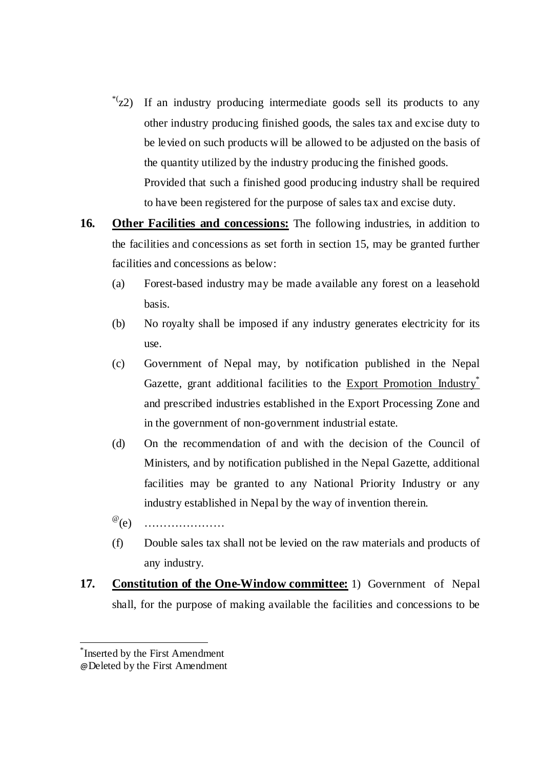- \*(z2) If an industry producing intermediate goods sell its products to any other industry producing finished goods, the sales tax and excise duty to be levied on such products will be allowed to be adjusted on the basis of the quantity utilized by the industry producing the finished goods. Provided that such a finished good producing industry shall be required to have been registered for the purpose of sales tax and excise duty.
- **16.** Other Facilities and concessions: The following industries, in addition to the facilities and concessions as set forth in section 15, may be granted further facilities and concessions as below:
	- (a) Forest-based industry may be made available any forest on a leasehold basis.
	- (b) No royalty shall be imposed if any industry generates electricity for its use.
	- (c) Government of Nepal may, by notification published in the Nepal Gazette, grant additional facilities to the  $\overline{Export}$  Promotion Industry and prescribed industries established in the Export Processing Zone and in the government of non-government industrial estate.
	- (d) On the recommendation of and with the decision of the Council of Ministers, and by notification published in the Nepal Gazette, additional facilities may be granted to any National Priority Industry or any industry established in Nepal by the way of invention therein.
	- $^{\textcircled{\tiny{\textcircled{\tiny{}}}}}(e)$ (e) …………………
	- (f) Double sales tax shall not be levied on the raw materials and products of any industry.
- **17. Constitution of the One-Window committee:** 1) Government of Nepal shall, for the purpose of making available the facilities and concessions to be

<sup>\*</sup> Inserted by the First Amendment

<sup>@</sup>Deleted by the First Amendment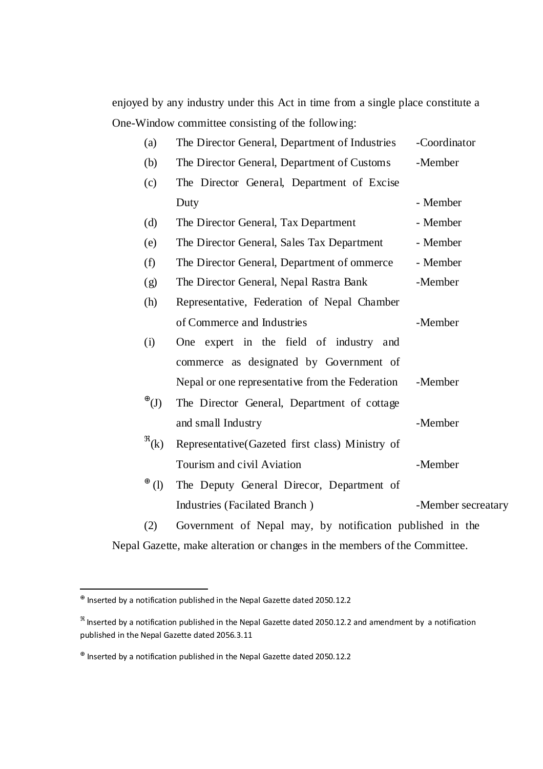enjoyed by any industry under this Act in time from a single place constitute a One-Window committee consisting of the following:

| (a)                           | The Director General, Department of Industries            | -Coordinator       |
|-------------------------------|-----------------------------------------------------------|--------------------|
| (b)                           | The Director General, Department of Customs               | -Member            |
| (c)                           | The Director General, Department of Excise                |                    |
|                               | Duty                                                      | - Member           |
| (d)                           | The Director General, Tax Department                      | - Member           |
| (e)                           | The Director General, Sales Tax Department                | - Member           |
| (f)                           | The Director General, Department of ommerce               | - Member           |
| (g)                           | The Director General, Nepal Rastra Bank                   | -Member            |
| (h)                           | Representative, Federation of Nepal Chamber               |                    |
|                               | of Commerce and Industries                                | -Member            |
| (i)                           | expert in the field of industry<br>One<br>and             |                    |
|                               | commerce as designated by Government of                   |                    |
|                               | Nepal or one representative from the Federation           | -Member            |
| $^\oplus(\mathrm{J})^\oplus$  | The Director General, Department of cottage               |                    |
|                               | and small Industry                                        | -Member            |
| $^{\mathfrak{R}}(\mathbf{k})$ | Representative(Gazeted first class) Ministry of           |                    |
|                               | Tourism and civil Aviation                                | -Member            |
| $\oplus$<br>(1)               | The Deputy General Direcor, Department of                 |                    |
|                               | Industries (Facilated Branch)                             | -Member secreatary |
| (2)                           | Government of Nepal may, by notification published in the |                    |
|                               |                                                           |                    |

Nepal Gazette, make alteration or changes in the members of the Committee.

 $^{\oplus}$  Inserted by a notification published in the Nepal Gazette dated 2050.12.2

 $^{\Re}$  Inserted by a notification published in the Nepal Gazette dated 2050.12.2 and amendment by a notification published in the Nepal Gazette dated 2056.3.11

 $^{\oplus}$  Inserted by a notification published in the Nepal Gazette dated 2050.12.2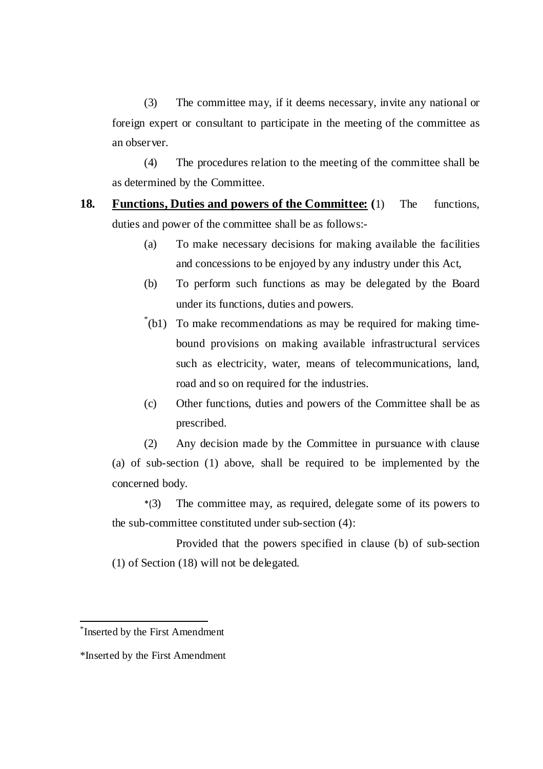(3) The committee may, if it deems necessary, invite any national or foreign expert or consultant to participate in the meeting of the committee as an observer.

(4) The procedures relation to the meeting of the committee shall be as determined by the Committee.

- **18. Functions, Duties and powers of the Committee: (**1) The functions, duties and power of the committee shall be as follows:-
	- (a) To make necessary decisions for making available the facilities and concessions to be enjoyed by any industry under this Act,
	- (b) To perform such functions as may be delegated by the Board under its functions, duties and powers.
	- \* (b1) To make recommendations as may be required for making timebound provisions on making available infrastructural services such as electricity, water, means of telecommunications, land, road and so on required for the industries.
	- (c) Other functions, duties and powers of the Committee shall be as prescribed.

(2) Any decision made by the Committee in pursuance with clause (a) of sub-section (1) above, shall be required to be implemented by the concerned body.

\*(3) The committee may, as required, delegate some of its powers to the sub-committee constituted under sub-section (4):

 Provided that the powers specified in clause (b) of sub-section (1) of Section (18) will not be delegated.

<sup>\*</sup> Inserted by the First Amendment

<sup>\*</sup>Inserted by the First Amendment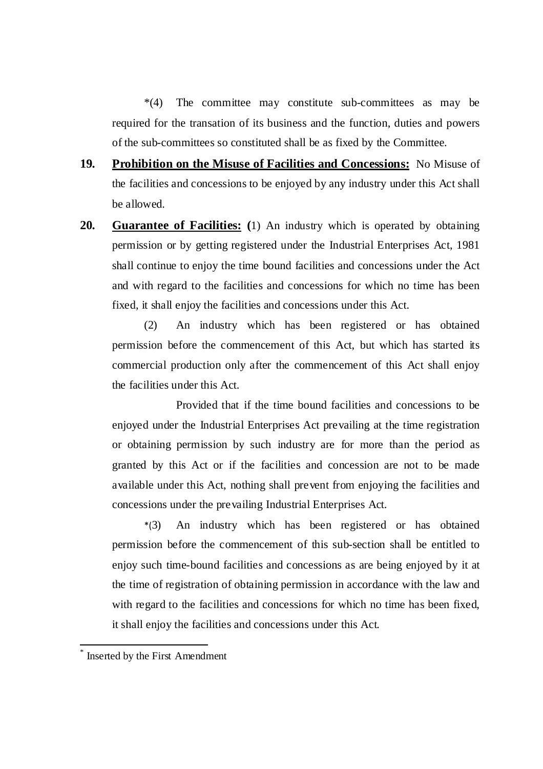\*(4) The committee may constitute sub-committees as may be required for the transation of its business and the function, duties and powers of the sub-committees so constituted shall be as fixed by the Committee.

- **19. Prohibition on the Misuse of Facilities and Concessions:** No Misuse of the facilities and concessions to be enjoyed by any industry under this Act shall be allowed.
- **20. Guarantee of Facilities: (**1) An industry which is operated by obtaining permission or by getting registered under the Industrial Enterprises Act, 1981 shall continue to enjoy the time bound facilities and concessions under the Act and with regard to the facilities and concessions for which no time has been fixed, it shall enjoy the facilities and concessions under this Act.

(2) An industry which has been registered or has obtained permission before the commencement of this Act, but which has started its commercial production only after the commencement of this Act shall enjoy the facilities under this Act.

 Provided that if the time bound facilities and concessions to be enjoyed under the Industrial Enterprises Act prevailing at the time registration or obtaining permission by such industry are for more than the period as granted by this Act or if the facilities and concession are not to be made available under this Act, nothing shall prevent from enjoying the facilities and concessions under the prevailing Industrial Enterprises Act.

\*(3) An industry which has been registered or has obtained permission before the commencement of this sub-section shall be entitled to enjoy such time-bound facilities and concessions as are being enjoyed by it at the time of registration of obtaining permission in accordance with the law and with regard to the facilities and concessions for which no time has been fixed, it shall enjoy the facilities and concessions under this Act.

l

<sup>\*</sup> Inserted by the First Amendment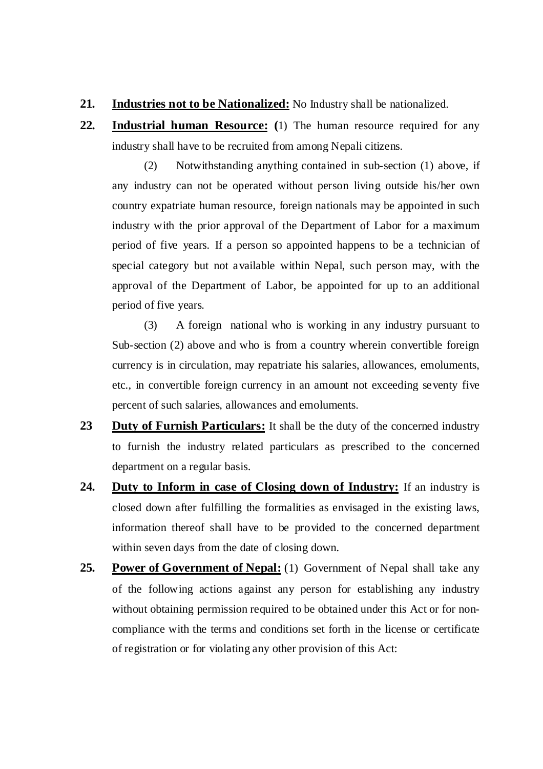- **21. Industries not to be Nationalized:** No Industry shall be nationalized.
- **22. Industrial human Resource: (**1) The human resource required for any industry shall have to be recruited from among Nepali citizens.

(2) Notwithstanding anything contained in sub-section (1) above, if any industry can not be operated without person living outside his/her own country expatriate human resource, foreign nationals may be appointed in such industry with the prior approval of the Department of Labor for a maximum period of five years. If a person so appointed happens to be a technician of special category but not available within Nepal, such person may, with the approval of the Department of Labor, be appointed for up to an additional period of five years.

(3) A foreign national who is working in any industry pursuant to Sub-section (2) above and who is from a country wherein convertible foreign currency is in circulation, may repatriate his salaries, allowances, emoluments, etc., in convertible foreign currency in an amount not exceeding seventy five percent of such salaries, allowances and emoluments.

- **23 Duty of Furnish Particulars:** It shall be the duty of the concerned industry to furnish the industry related particulars as prescribed to the concerned department on a regular basis.
- **24. Duty to Inform in case of Closing down of Industry:** If an industry is closed down after fulfilling the formalities as envisaged in the existing laws, information thereof shall have to be provided to the concerned department within seven days from the date of closing down.
- 25. Power of Government of Nepal: (1) Government of Nepal shall take any of the following actions against any person for establishing any industry without obtaining permission required to be obtained under this Act or for noncompliance with the terms and conditions set forth in the license or certificate of registration or for violating any other provision of this Act: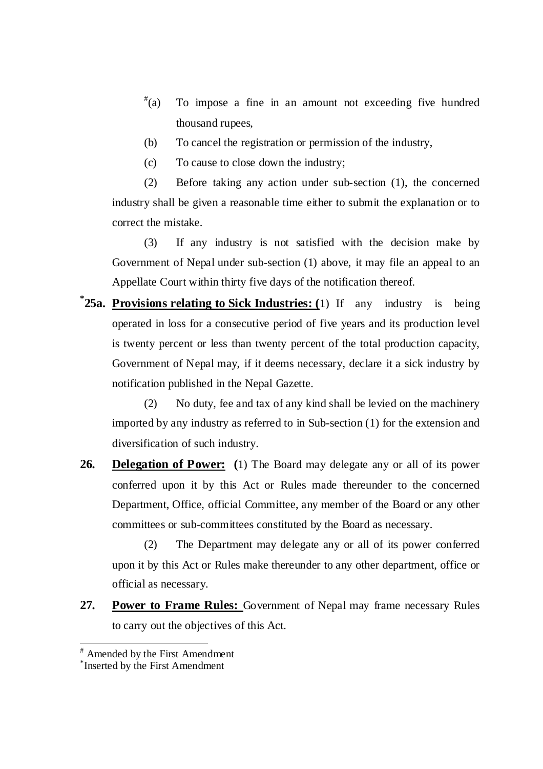- $*(a)$ To impose a fine in an amount not exceeding five hundred thousand rupees,
- (b) To cancel the registration or permission of the industry,
- (c) To cause to close down the industry;

(2) Before taking any action under sub-section (1), the concerned industry shall be given a reasonable time either to submit the explanation or to correct the mistake.

(3) If any industry is not satisfied with the decision make by Government of Nepal under sub-section (1) above, it may file an appeal to an Appellate Court within thirty five days of the notification thereof.

<sup>\*</sup>**25a.** Provisions relating to Sick Industries: (1) If any industry is being operated in loss for a consecutive period of five years and its production level is twenty percent or less than twenty percent of the total production capacity, Government of Nepal may, if it deems necessary, declare it a sick industry by notification published in the Nepal Gazette.

(2) No duty, fee and tax of any kind shall be levied on the machinery imported by any industry as referred to in Sub-section (1) for the extension and diversification of such industry.

**26. Delegation of Power: (**1) The Board may delegate any or all of its power conferred upon it by this Act or Rules made thereunder to the concerned Department, Office, official Committee, any member of the Board or any other committees or sub-committees constituted by the Board as necessary.

(2) The Department may delegate any or all of its power conferred upon it by this Act or Rules make thereunder to any other department, office or official as necessary.

27. **Power to Frame Rules:** Government of Nepal may frame necessary Rules to carry out the objectives of this Act.

<sup>#</sup> Amended by the First Amendment

<sup>\*</sup> Inserted by the First Amendment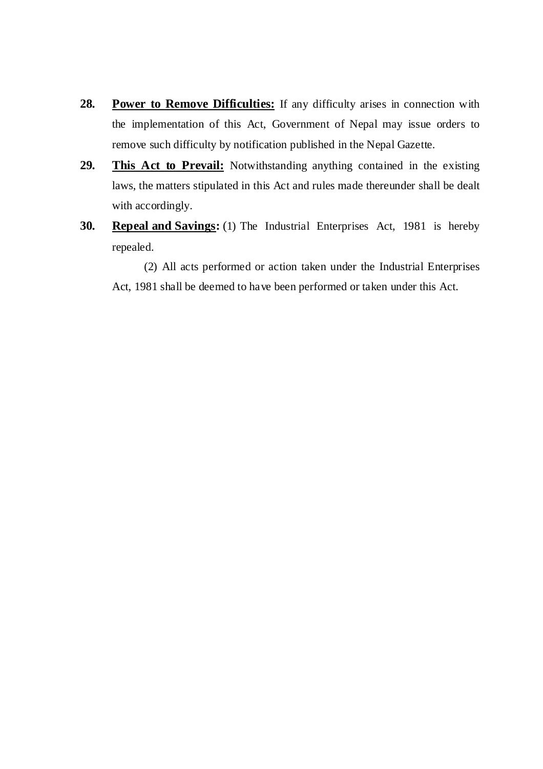- 28. Power to Remove Difficulties: If any difficulty arises in connection with the implementation of this Act, Government of Nepal may issue orders to remove such difficulty by notification published in the Nepal Gazette.
- **29. This Act to Prevail:** Notwithstanding anything contained in the existing laws, the matters stipulated in this Act and rules made thereunder shall be dealt with accordingly.
- **30. Repeal and Savings:** (1) The Industrial Enterprises Act, 1981 is hereby repealed.

(2) All acts performed or action taken under the Industrial Enterprises Act, 1981 shall be deemed to have been performed or taken under this Act.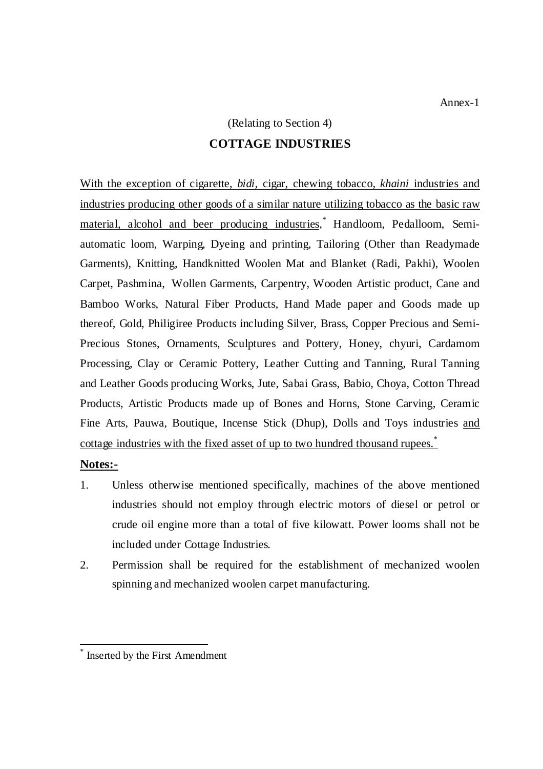# (Relating to Section 4) **COTTAGE INDUSTRIES**

With the exception of cigarette, *bidi,* cigar, chewing tobacco, *khaini* industries and industries producing other goods of a similar nature utilizing tobacco as the basic raw material, alcohol and beer producing industries,<sup>\*</sup> Handloom, Pedalloom, Semiautomatic loom, Warping, Dyeing and printing, Tailoring (Other than Readymade Garments), Knitting, Handknitted Woolen Mat and Blanket (Radi, Pakhi), Woolen Carpet, Pashmina, Wollen Garments, Carpentry, Wooden Artistic product, Cane and Bamboo Works, Natural Fiber Products, Hand Made paper and Goods made up thereof, Gold, Philigiree Products including Silver, Brass, Copper Precious and Semi-Precious Stones, Ornaments, Sculptures and Pottery, Honey, chyuri, Cardamom Processing, Clay or Ceramic Pottery, Leather Cutting and Tanning, Rural Tanning and Leather Goods producing Works, Jute, Sabai Grass, Babio, Choya, Cotton Thread Products, Artistic Products made up of Bones and Horns, Stone Carving, Ceramic Fine Arts, Pauwa, Boutique, Incense Stick (Dhup), Dolls and Toys industries and cottage industries with the fixed asset of up to two hundred thousand rupees.<sup>\*</sup>

#### **Notes:-**

- 1. Unless otherwise mentioned specifically, machines of the above mentioned industries should not employ through electric motors of diesel or petrol or crude oil engine more than a total of five kilowatt. Power looms shall not be included under Cottage Industries.
- 2. Permission shall be required for the establishment of mechanized woolen spinning and mechanized woolen carpet manufacturing.

<sup>\*</sup> Inserted by the First Amendment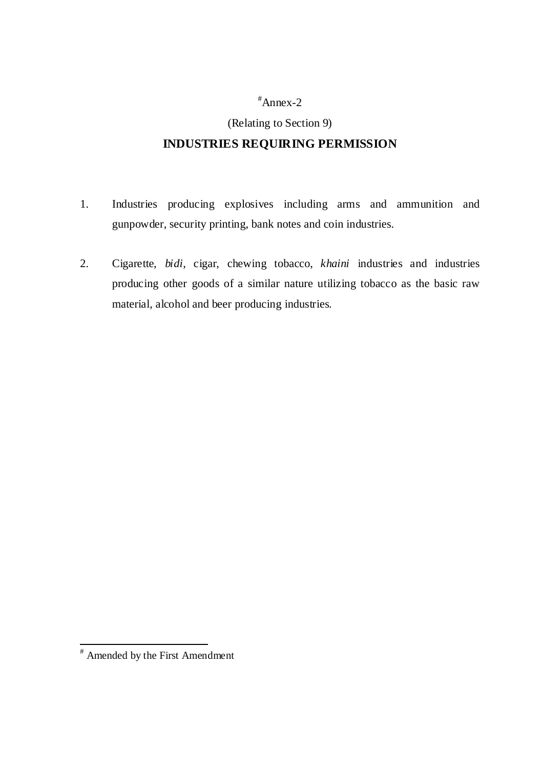### #Annex-2

## (Relating to Section 9) **INDUSTRIES REQUIRING PERMISSION**

- 1. Industries producing explosives including arms and ammunition and gunpowder, security printing, bank notes and coin industries.
- 2. Cigarette, *bidi*, cigar, chewing tobacco, *khaini* industries and industries producing other goods of a similar nature utilizing tobacco as the basic raw material, alcohol and beer producing industries.

 # Amended by the First Amendment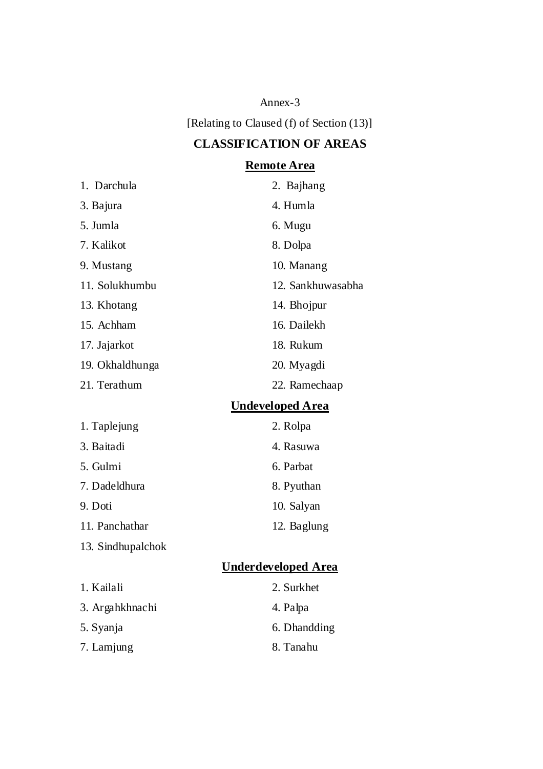Annex-3

[Relating to Claused (f) of Section (13)]

## **CLASSIFICATION OF AREAS**

## **Remote Area**

| 1. Darchula       | 2. Bajhang                 |
|-------------------|----------------------------|
| 3. Bajura         | 4. Humla                   |
| 5. Jumla          | 6. Mugu                    |
| 7. Kalikot        | 8. Dolpa                   |
| 9. Mustang        | 10. Manang                 |
| 11. Solukhumbu    | 12. Sankhuwasabha          |
| 13. Khotang       | 14. Bhojpur                |
| 15. Achham        | 16. Dailekh                |
| 17. Jajarkot      | 18. Rukum                  |
| 19. Okhaldhunga   | 20. Myagdi                 |
| 21. Terathum      | 22. Ramechaap              |
|                   | <b>Undeveloped Area</b>    |
| 1. Taplejung      | 2. Rolpa                   |
| 3. Baitadi        | 4. Rasuwa                  |
| 5. Gulmi          | 6. Parbat                  |
| 7. Dadeldhura     | 8. Pyuthan                 |
| 9. Doti           | 10. Salyan                 |
| 11. Panchathar    | 12. Baglung                |
| 13. Sindhupalchok |                            |
|                   | <b>Underdeveloped Area</b> |
| $1$ Kailali       | $2$ Surkhet                |

| 1. Kailali      | 2. Surkhet   |
|-----------------|--------------|
| 3. Argahkhnachi | 4. Palpa     |
| 5. Syanja       | 6. Dhandding |
| 7. Lamjung      | 8. Tanahu    |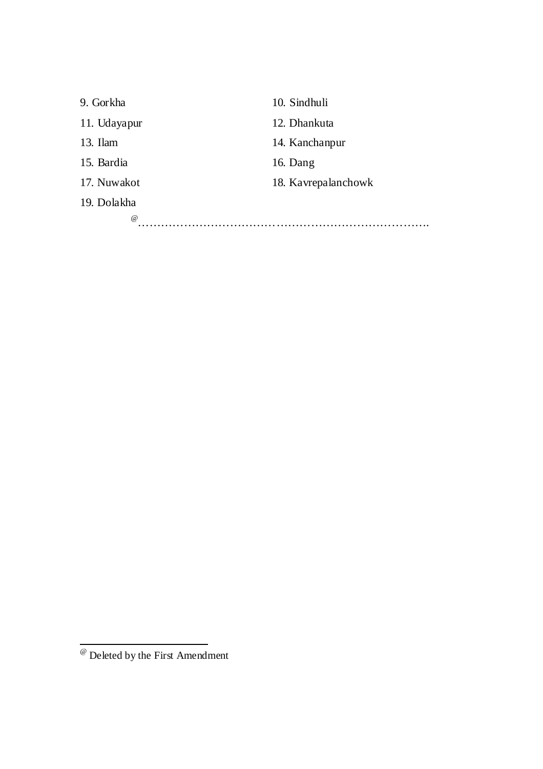| 9. Gorkha    | 10. Sindhuli        |
|--------------|---------------------|
| 11. Udayapur | 12. Dhankuta        |
| 13. Ilam     | 14. Kanchanpur      |
| 15. Bardia   | 16. Dang            |
| 17. Nuwakot  | 18. Kavrepalanchowk |
| 19. Dolakha  |                     |
| $\omega$     |                     |

<sup>@</sup> Deleted by the First Amendment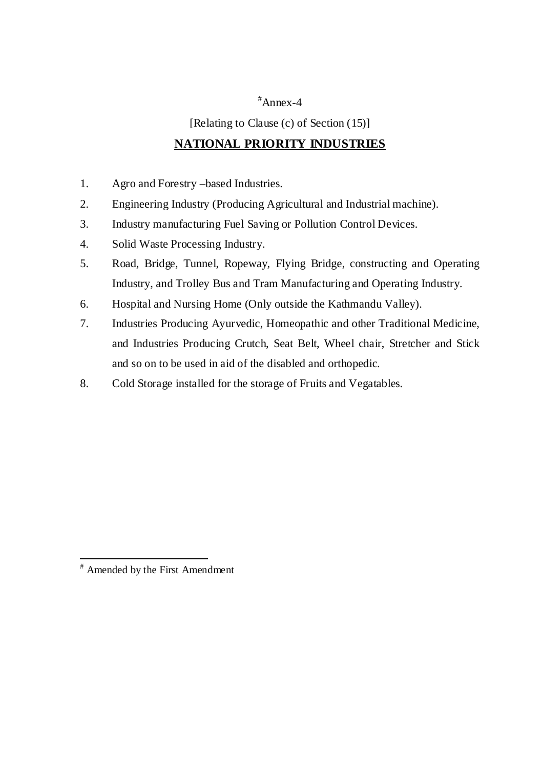#### #Annex-4

[Relating to Clause (c) of Section (15)]

#### **NATIONAL PRIORITY INDUSTRIES**

- 1. Agro and Forestry –based Industries.
- 2. Engineering Industry (Producing Agricultural and Industrial machine).
- 3. Industry manufacturing Fuel Saving or Pollution Control Devices.
- 4. Solid Waste Processing Industry.
- 5. Road, Bridge, Tunnel, Ropeway, Flying Bridge, constructing and Operating Industry, and Trolley Bus and Tram Manufacturing and Operating Industry.
- 6. Hospital and Nursing Home (Only outside the Kathmandu Valley).
- 7. Industries Producing Ayurvedic, Homeopathic and other Traditional Medicine, and Industries Producing Crutch, Seat Belt, Wheel chair, Stretcher and Stick and so on to be used in aid of the disabled and orthopedic.
- 8. Cold Storage installed for the storage of Fruits and Vegatables.

l

<sup>#</sup> Amended by the First Amendment